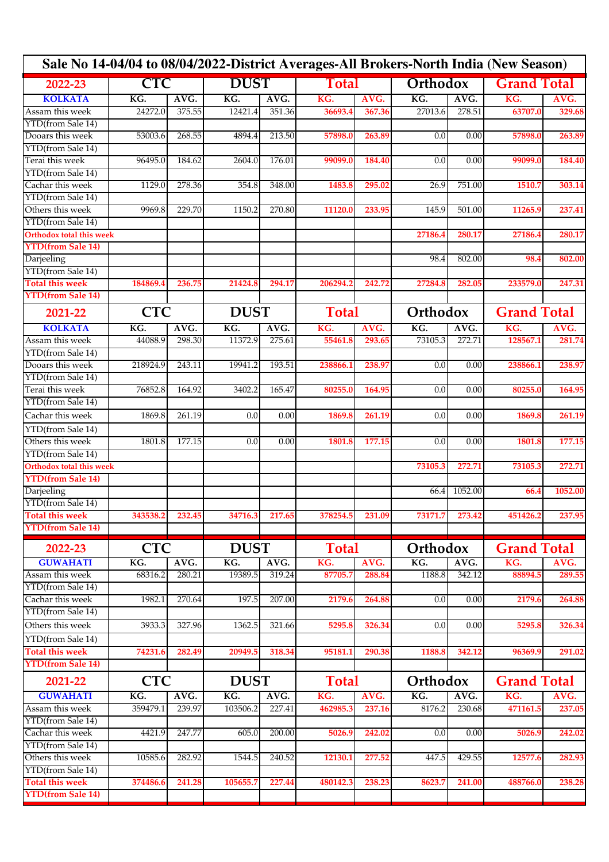| Sale No 14-04/04 to 08/04/2022-District Averages-All Brokers-North India (New Season) |            |        |             |             |              |              |          |          |                    |                    |  |
|---------------------------------------------------------------------------------------|------------|--------|-------------|-------------|--------------|--------------|----------|----------|--------------------|--------------------|--|
| 2022-23                                                                               | CTC        |        | <b>DUST</b> |             | Total        |              | Orthodox |          | <b>Grand Total</b> |                    |  |
| <b>KOLKATA</b>                                                                        | KG.        | AVG.   | KG.         | AVG.        | KG.          | AVG.         | KG.      | AVG.     | KG.                | AVG.               |  |
| Assam this week                                                                       | 24272.0    | 375.55 | 12421.4     | 351.36      | 36693.4      | 367.36       | 27013.6  | 278.51   | 63707.0            | 329.68             |  |
| YTD(from Sale 14)                                                                     |            |        |             |             |              |              |          |          |                    |                    |  |
| Dooars this week                                                                      | 53003.6    | 268.55 | 4894.4      | 213.50      | 57898.0      | 263.89       | 0.0      | 0.00     | 57898.0            | 263.89             |  |
| YTD(from Sale 14)                                                                     |            |        |             |             |              |              |          |          |                    |                    |  |
| Terai this week                                                                       | 96495.0    | 184.62 | 2604.0      | 176.01      | 99099.0      | 184.40       | 0.0      | 0.00     | 99099.0            | 184.40             |  |
| YTD(from Sale 14)                                                                     |            |        |             |             |              |              |          |          |                    |                    |  |
| Cachar this week                                                                      | 1129.0     | 278.36 | 354.8       | 348.00      | 1483.8       | 295.02       | 26.9     | 751.00   | 1510.7             | 303.14             |  |
| YTD(from Sale 14)                                                                     |            |        |             |             |              |              |          |          |                    |                    |  |
| Others this week                                                                      | 9969.8     | 229.70 | 1150.2      | 270.80      | 11120.0      | 233.95       | 145.9    | 501.00   | 11265.9            | 237.41             |  |
| YTD(from Sale 14)                                                                     |            |        |             |             |              |              |          |          |                    |                    |  |
| <b>Orthodox total this week</b>                                                       |            |        |             |             |              |              | 27186.4  | 280.17   | 27186.4            | 280.17             |  |
| <b>YTD(from Sale 14)</b>                                                              |            |        |             |             |              |              |          |          |                    |                    |  |
| Darjeeling                                                                            |            |        |             |             |              |              | 98.4     | 802.00   | 98.4               | 802.00             |  |
| YTD(from Sale 14)                                                                     |            |        |             |             |              |              |          |          |                    |                    |  |
| <b>Total this week</b>                                                                | 184869.4   | 236.75 | 21424.8     | 294.17      | 206294.2     | 242.72       | 27284.8  | 282.05   | 233579.0           | 247.31             |  |
| <b>YTD(from Sale 14)</b>                                                              |            |        |             |             |              |              |          |          |                    |                    |  |
| 2021-22                                                                               | <b>CTC</b> |        |             | <b>DUST</b> |              | <b>Total</b> |          | Orthodox |                    | <b>Grand Total</b> |  |
| <b>KOLKATA</b>                                                                        | KG.        | AVG.   | KG.         | AVG.        | KG.          | AVG.         | KG.      | AVG.     | KG.                | AVG.               |  |
| Assam this week                                                                       | 44088.9    | 298.30 | 11372.9     | 275.61      | 55461.8      | 293.65       | 73105.3  | 272.71   | 128567.1           | 281.74             |  |
| YTD(from Sale 14)                                                                     |            |        |             |             |              |              |          |          |                    |                    |  |
| Dooars this week                                                                      | 218924.9   | 243.11 | 19941.2     | 193.51      | 238866.1     | 238.97       | 0.0      | 0.00     | 238866.1           | 238.97             |  |
| YTD(from Sale 14)                                                                     |            |        |             |             |              |              |          |          |                    |                    |  |
| Terai this week                                                                       | 76852.8    | 164.92 | 3402.2      | 165.47      | 80255.0      | 164.95       | 0.0      | 0.00     | 80255.0            | 164.95             |  |
| YTD(from Sale 14)                                                                     |            |        |             |             |              |              |          |          |                    |                    |  |
| Cachar this week                                                                      | 1869.8     | 261.19 | 0.0         | 0.00        | 1869.8       | 261.19       | 0.0      | 0.00     | 1869.8             | 261.19             |  |
| YTD(from Sale 14)                                                                     |            |        |             |             |              |              |          |          |                    |                    |  |
| Others this week                                                                      | 1801.8     | 177.15 | 0.0         | 0.00        | 1801.8       | 177.15       | 0.0      | 0.00     | 1801.8             | 177.15             |  |
| YTD(from Sale 14)                                                                     |            |        |             |             |              |              |          |          |                    |                    |  |
| <b>Orthodox total this week</b>                                                       |            |        |             |             |              |              | 73105.3  | 272.71   | 73105.3            | 272.71             |  |
| <b>YTD(from Sale 14)</b>                                                              |            |        |             |             |              |              |          |          |                    |                    |  |
| Darjeeling                                                                            |            |        |             |             |              |              | 66.4     | 1052.00  | 66.4               | 1052.00            |  |
| YTD(from Sale 14)                                                                     |            |        |             |             |              |              |          |          |                    |                    |  |
| Total this week                                                                       | 343538.2   | 232.45 | 34716.3     | 217.65      | 378254.5     | 231.09       | 73171.7  | 273.42   | 451426.2           | 237.95             |  |
| <b>YTD(from Sale 14)</b>                                                              |            |        |             |             |              |              |          |          |                    |                    |  |
| 2022-23                                                                               | <b>CTC</b> |        | <b>DUST</b> |             |              | <b>Total</b> |          | Orthodox |                    | <b>Grand Total</b> |  |
| <b>GUWAHATI</b>                                                                       | KG.        | AVG.   | KG.         | AVG.        | KG.          | AVG.         | KG.      | AVG.     | KG.                | AVG.               |  |
| Assam this week                                                                       | 68316.2    | 280.21 | 19389.5     | 319.24      | 87705.7      | 288.84       | 1188.8   | 342.12   | 88894.5            | 289.55             |  |
| YTD(from Sale 14)                                                                     |            |        |             |             |              |              |          |          |                    |                    |  |
| Cachar this week                                                                      | 1982.1     | 270.64 | 197.5       | 207.00      | 2179.6       | 264.88       | 0.0      | 0.00     | 2179.6             | 264.88             |  |
| YTD(from Sale 14)                                                                     |            |        |             |             |              |              |          |          |                    |                    |  |
| Others this week                                                                      | 3933.3     | 327.96 | 1362.5      | 321.66      | 5295.8       | 326.34       | 0.0      | 0.00     | 5295.8             | 326.34             |  |
| YTD(from Sale 14)                                                                     |            |        |             |             |              |              |          |          |                    |                    |  |
| <b>Total this week</b>                                                                | 74231.6    | 282.49 | 20949.5     | 318.34      | 95181.1      | 290.38       | 1188.8   | 342.12   | 96369.9            | 291.02             |  |
| <b>YTD(from Sale 14)</b>                                                              |            |        |             |             |              |              |          |          |                    |                    |  |
| 2021-22                                                                               | <b>CTC</b> |        | <b>DUST</b> |             | <b>Total</b> |              | Orthodox |          | <b>Grand Total</b> |                    |  |
| <b>GUWAHATI</b>                                                                       | KG.        | AVG.   | KG.         | AVG.        | KG.          | AVG.         | KG.      | AVG.     | KG.                | AVG.               |  |
| Assam this week                                                                       | 359479.1   | 239.97 | 103506.2    | 227.41      | 462985.3     | 237.16       | 8176.2   | 230.68   | 471161.5           | 237.05             |  |
| YTD(from Sale 14)                                                                     |            |        |             |             |              |              |          |          |                    |                    |  |
| Cachar this week                                                                      | 4421.9     | 247.77 | 605.0       | 200.00      | 5026.9       | 242.02       | 0.0      | 0.00     | 5026.9             | 242.02             |  |
| YTD(from Sale 14)                                                                     |            |        |             |             |              |              |          |          |                    |                    |  |
| Others this week                                                                      | 10585.6    | 282.92 | 1544.5      | 240.52      | 12130.1      | 277.52       | 447.5    | 429.55   | 12577.6            | 282.93             |  |
| YTD(from Sale 14)                                                                     |            |        |             |             |              |              |          |          |                    |                    |  |
| <b>Total this week</b>                                                                | 374486.6   | 241.28 | 105655.7    | 227.44      | 480142.3     | 238.23       | 8623.7   | 241.00   | 488766.0           | 238.28             |  |
| <b>YTD(from Sale 14)</b>                                                              |            |        |             |             |              |              |          |          |                    |                    |  |
|                                                                                       |            |        |             |             |              |              |          |          |                    |                    |  |